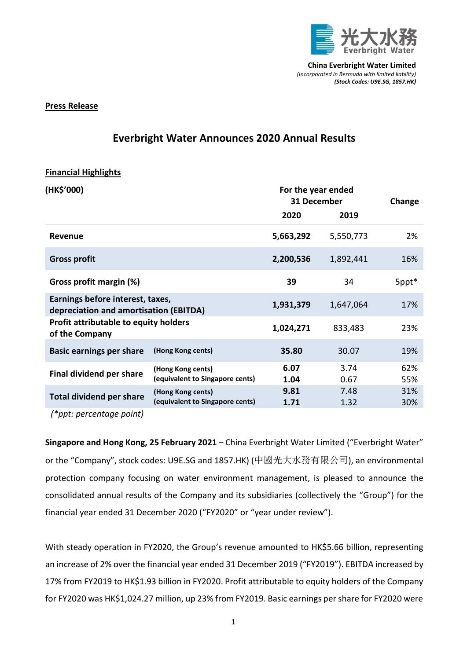

## **Press Release**

## **Everbright Water Announces 2020 Annual Results**

## **Financial Highlights**

| (HK\$'000)                                                                 |                                                      | For the year ended<br>31 December |              | Change     |
|----------------------------------------------------------------------------|------------------------------------------------------|-----------------------------------|--------------|------------|
|                                                                            |                                                      | 2020                              | 2019         |            |
| Revenue                                                                    |                                                      | 5,663,292                         | 5,550,773    | 2%         |
| <b>Gross profit</b>                                                        |                                                      | 2,200,536                         | 1,892,441    | 16%        |
| Gross profit margin (%)                                                    |                                                      | 39                                | 34           | 5ppt*      |
| Earnings before interest, taxes,<br>depreciation and amortisation (EBITDA) |                                                      | 1,931,379                         | 1,647,064    | 17%        |
| <b>Profit attributable to equity holders</b><br>of the Company             |                                                      | 1,024,271                         | 833,483      | 23%        |
| <b>Basic earnings per share</b>                                            | (Hong Kong cents)                                    | 35.80                             | 30.07        | 19%        |
| <b>Final dividend per share</b>                                            | (Hong Kong cents)<br>(equivalent to Singapore cents) | 6.07<br>1.04                      | 3.74<br>0.67 | 62%<br>55% |
| <b>Total dividend per share</b>                                            | (Hong Kong cents)<br>(equivalent to Singapore cents) | 9.81<br>1.71                      | 7.48<br>1.32 | 31%<br>30% |
|                                                                            |                                                      |                                   |              |            |

*(\*ppt: percentage point)*

**Singapore and Hong Kong, 25 February 2021** – China Everbright Water Limited ("Everbright Water" or the "Company", stock codes: U9E.SG and 1857.HK) (中國光大水務有限公司), an environmental protection company focusing on water environment management, is pleased to announce the consolidated annual results of the Company and its subsidiaries (collectively the "Group") for the financial year ended 31 December 2020 ("FY2020" or "year under review").

With steady operation in FY2020, the Group's revenue amounted to HK\$5.66 billion, representing an increase of 2% over the financial year ended 31 December 2019 ("FY2019"). EBITDA increased by 17% from FY2019 to HK\$1.93 billion in FY2020. Profit attributable to equity holders of the Company for FY2020 was HK\$1,024.27 million, up 23% from FY2019. Basic earnings per share for FY2020 were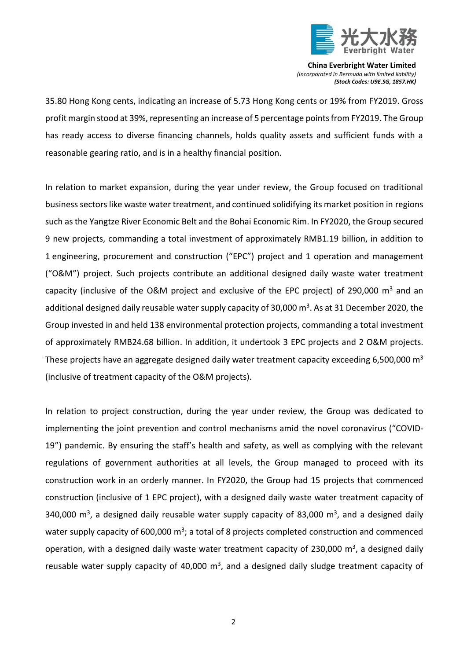

35.80 Hong Kong cents, indicating an increase of 5.73 Hong Kong cents or 19% from FY2019. Gross profit margin stood at 39%, representing an increase of 5 percentage points from FY2019. The Group has ready access to diverse financing channels, holds quality assets and sufficient funds with a reasonable gearing ratio, and is in a healthy financial position.

In relation to market expansion, during the year under review, the Group focused on traditional business sectors like waste water treatment, and continued solidifying its market position in regions such as the Yangtze River Economic Belt and the Bohai Economic Rim. In FY2020, the Group secured 9 new projects, commanding a total investment of approximately RMB1.19 billion, in addition to 1 engineering, procurement and construction ("EPC") project and 1 operation and management ("O&M") project. Such projects contribute an additional designed daily waste water treatment capacity (inclusive of the O&M project and exclusive of the EPC project) of 290,000  $m^3$  and an additional designed daily reusable water supply capacity of 30,000 m<sup>3</sup>. As at 31 December 2020, the Group invested in and held 138 environmental protection projects, commanding a total investment of approximately RMB24.68 billion. In addition, it undertook 3 EPC projects and 2 O&M projects. These projects have an aggregate designed daily water treatment capacity exceeding 6,500,000  $m<sup>3</sup>$ (inclusive of treatment capacity of the O&M projects).

In relation to project construction, during the year under review, the Group was dedicated to implementing the joint prevention and control mechanisms amid the novel coronavirus ("COVID-19") pandemic. By ensuring the staff's health and safety, as well as complying with the relevant regulations of government authorities at all levels, the Group managed to proceed with its construction work in an orderly manner. In FY2020, the Group had 15 projects that commenced construction (inclusive of 1 EPC project), with a designed daily waste water treatment capacity of 340,000  $\text{m}^3$ , a designed daily reusable water supply capacity of 83,000  $\text{m}^3$ , and a designed daily water supply capacity of 600,000 m<sup>3</sup>; a total of 8 projects completed construction and commenced operation, with a designed daily waste water treatment capacity of 230,000  $\text{m}^3$ , a designed daily reusable water supply capacity of 40,000  $m^3$ , and a designed daily sludge treatment capacity of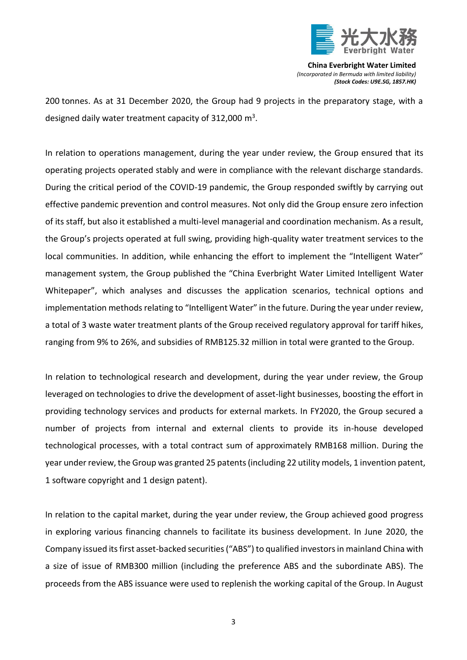

200 tonnes. As at 31 December 2020, the Group had 9 projects in the preparatory stage, with a designed daily water treatment capacity of 312,000  $\text{m}^3$ .

In relation to operations management, during the year under review, the Group ensured that its operating projects operated stably and were in compliance with the relevant discharge standards. During the critical period of the COVID-19 pandemic, the Group responded swiftly by carrying out effective pandemic prevention and control measures. Not only did the Group ensure zero infection of its staff, but also it established a multi-level managerial and coordination mechanism. As a result, the Group's projects operated at full swing, providing high-quality water treatment services to the local communities. In addition, while enhancing the effort to implement the "Intelligent Water" management system, the Group published the "China Everbright Water Limited Intelligent Water Whitepaper", which analyses and discusses the application scenarios, technical options and implementation methods relating to "Intelligent Water" in the future. During the year under review, a total of 3 waste water treatment plants of the Group received regulatory approval for tariff hikes, ranging from 9% to 26%, and subsidies of RMB125.32 million in total were granted to the Group.

In relation to technological research and development, during the year under review, the Group leveraged on technologies to drive the development of asset-light businesses, boosting the effort in providing technology services and products for external markets. In FY2020, the Group secured a number of projects from internal and external clients to provide its in-house developed technological processes, with a total contract sum of approximately RMB168 million. During the year under review, the Group was granted 25 patents (including 22 utility models, 1 invention patent, 1 software copyright and 1 design patent).

In relation to the capital market, during the year under review, the Group achieved good progress in exploring various financing channels to facilitate its business development. In June 2020, the Company issued its first asset-backed securities ("ABS") to qualified investors in mainland China with a size of issue of RMB300 million (including the preference ABS and the subordinate ABS). The proceeds from the ABS issuance were used to replenish the working capital of the Group. In August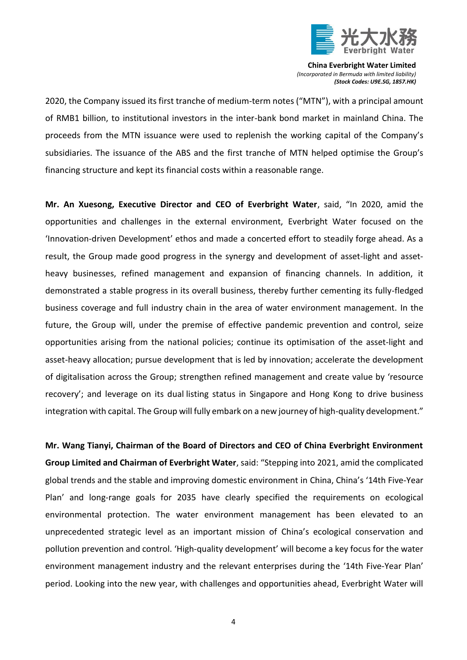

2020, the Company issued its first tranche of medium-term notes ("MTN"), with a principal amount of RMB1 billion, to institutional investors in the inter-bank bond market in mainland China. The proceeds from the MTN issuance were used to replenish the working capital of the Company's subsidiaries. The issuance of the ABS and the first tranche of MTN helped optimise the Group's financing structure and kept its financial costs within a reasonable range.

**Mr. An Xuesong, Executive Director and CEO of Everbright Water**, said, "In 2020, amid the opportunities and challenges in the external environment, Everbright Water focused on the 'Innovation-driven Development' ethos and made a concerted effort to steadily forge ahead. As a result, the Group made good progress in the synergy and development of asset-light and assetheavy businesses, refined management and expansion of financing channels. In addition, it demonstrated a stable progress in its overall business, thereby further cementing its fully-fledged business coverage and full industry chain in the area of water environment management. In the future, the Group will, under the premise of effective pandemic prevention and control, seize opportunities arising from the national policies; continue its optimisation of the asset-light and asset-heavy allocation; pursue development that is led by innovation; accelerate the development of digitalisation across the Group; strengthen refined management and create value by 'resource recovery'; and leverage on its dual listing status in Singapore and Hong Kong to drive business integration with capital. The Group will fully embark on a new journey of high-quality development."

**Mr. Wang Tianyi, Chairman of the Board of Directors and CEO of China Everbright Environment Group Limited and Chairman of Everbright Water**, said: "Stepping into 2021, amid the complicated global trends and the stable and improving domestic environment in China, China's '14th Five-Year Plan' and long-range goals for 2035 have clearly specified the requirements on ecological environmental protection. The water environment management has been elevated to an unprecedented strategic level as an important mission of China's ecological conservation and pollution prevention and control. 'High-quality development' will become a key focus for the water environment management industry and the relevant enterprises during the '14th Five-Year Plan' period. Looking into the new year, with challenges and opportunities ahead, Everbright Water will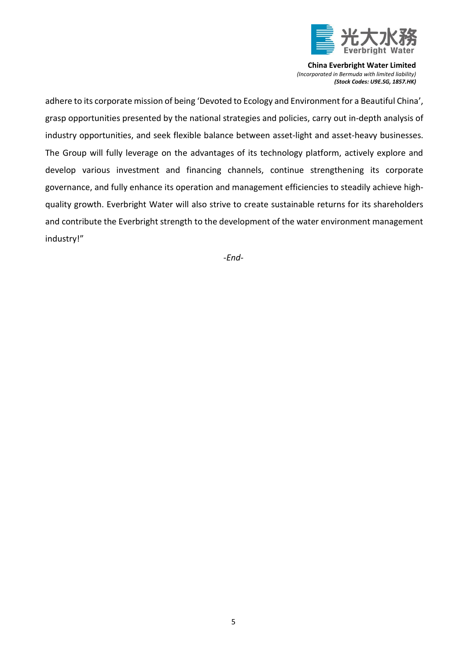

adhere to its corporate mission of being 'Devoted to Ecology and Environment for a Beautiful China', grasp opportunities presented by the national strategies and policies, carry out in-depth analysis of industry opportunities, and seek flexible balance between asset-light and asset-heavy businesses. The Group will fully leverage on the advantages of its technology platform, actively explore and develop various investment and financing channels, continue strengthening its corporate governance, and fully enhance its operation and management efficiencies to steadily achieve highquality growth. Everbright Water will also strive to create sustainable returns for its shareholders and contribute the Everbright strength to the development of the water environment management industry!"

*-End-*